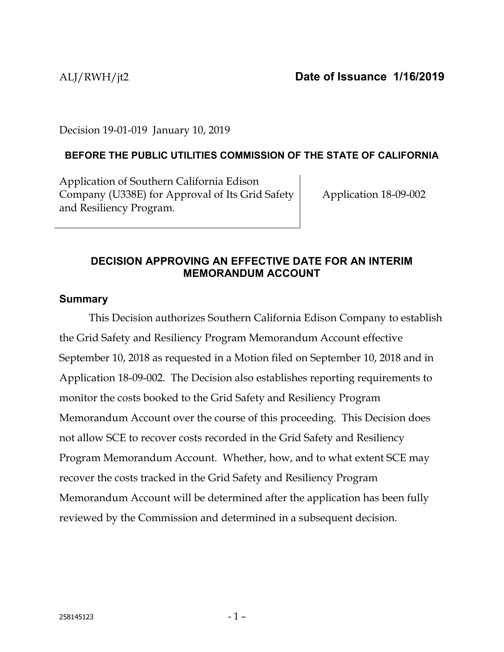Decision 19-01-019 January 10, 2019

# **BEFORE THE PUBLIC UTILITIES COMMISSION OF THE STATE OF CALIFORNIA**

Application of Southern California Edison Company (U338E) for Approval of Its Grid Safety and Resiliency Program.

Application 18-09-002

# **DECISION APPROVING AN EFFECTIVE DATE FOR AN INTERIM MEMORANDUM ACCOUNT**

# **Summary**

This Decision authorizes Southern California Edison Company to establish the Grid Safety and Resiliency Program Memorandum Account effective September 10, 2018 as requested in a Motion filed on September 10, 2018 and in Application 18-09-002. The Decision also establishes reporting requirements to monitor the costs booked to the Grid Safety and Resiliency Program Memorandum Account over the course of this proceeding. This Decision does not allow SCE to recover costs recorded in the Grid Safety and Resiliency Program Memorandum Account. Whether, how, and to what extent SCE may recover the costs tracked in the Grid Safety and Resiliency Program Memorandum Account will be determined after the application has been fully reviewed by the Commission and determined in a subsequent decision.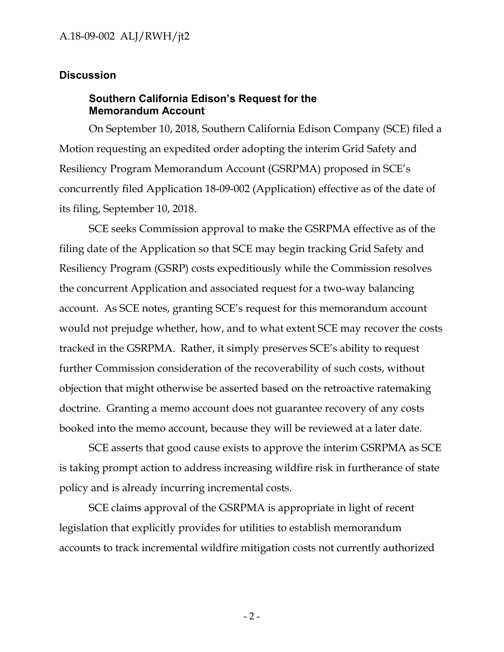### **Discussion**

### **Southern California Edison's Request for the Memorandum Account**

On September 10, 2018, Southern California Edison Company (SCE) filed a Motion requesting an expedited order adopting the interim Grid Safety and Resiliency Program Memorandum Account (GSRPMA) proposed in SCE's concurrently filed Application 18-09-002 (Application) effective as of the date of its filing, September 10, 2018.

SCE seeks Commission approval to make the GSRPMA effective as of the filing date of the Application so that SCE may begin tracking Grid Safety and Resiliency Program (GSRP) costs expeditiously while the Commission resolves the concurrent Application and associated request for a two-way balancing account. As SCE notes, granting SCE's request for this memorandum account would not prejudge whether, how, and to what extent SCE may recover the costs tracked in the GSRPMA. Rather, it simply preserves SCE's ability to request further Commission consideration of the recoverability of such costs, without objection that might otherwise be asserted based on the retroactive ratemaking doctrine. Granting a memo account does not guarantee recovery of any costs booked into the memo account, because they will be reviewed at a later date.

SCE asserts that good cause exists to approve the interim GSRPMA as SCE is taking prompt action to address increasing wildfire risk in furtherance of state policy and is already incurring incremental costs.

SCE claims approval of the GSRPMA is appropriate in light of recent legislation that explicitly provides for utilities to establish memorandum accounts to track incremental wildfire mitigation costs not currently authorized

- 2 -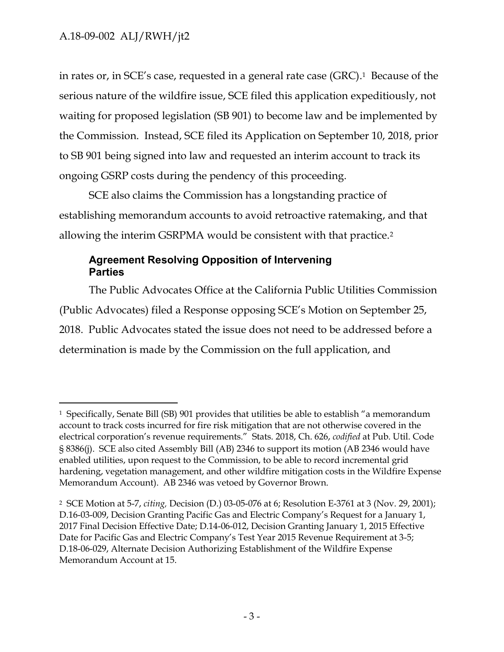$\overline{a}$ 

in rates or, in SCE's case, requested in a general rate case (GRC). <sup>1</sup> Because of the serious nature of the wildfire issue, SCE filed this application expeditiously, not waiting for proposed legislation (SB 901) to become law and be implemented by the Commission. Instead, SCE filed its Application on September 10, 2018, prior to SB 901 being signed into law and requested an interim account to track its ongoing GSRP costs during the pendency of this proceeding.

SCE also claims the Commission has a longstanding practice of establishing memorandum accounts to avoid retroactive ratemaking, and that allowing the interim GSRPMA would be consistent with that practice.<sup>2</sup>

# **Agreement Resolving Opposition of Intervening Parties**

The Public Advocates Office at the California Public Utilities Commission (Public Advocates) filed a Response opposing SCE's Motion on September 25, 2018. Public Advocates stated the issue does not need to be addressed before a determination is made by the Commission on the full application, and

<sup>1</sup> Specifically, Senate Bill (SB) 901 provides that utilities be able to establish "a memorandum account to track costs incurred for fire risk mitigation that are not otherwise covered in the electrical corporation's revenue requirements." Stats. 2018, Ch. 626, *codified* at Pub. Util. Code § 8386(j). SCE also cited Assembly Bill (AB) 2346 to support its motion (AB 2346 would have enabled utilities, upon request to the Commission, to be able to record incremental grid hardening, vegetation management, and other wildfire mitigation costs in the Wildfire Expense Memorandum Account). AB 2346 was vetoed by Governor Brown.

<sup>2</sup> SCE Motion at 5-7, *citing,* Decision (D.) 03-05-076 at 6; Resolution E-3761 at 3 (Nov. 29, 2001); D.16-03-009, Decision Granting Pacific Gas and Electric Company's Request for a January 1, 2017 Final Decision Effective Date; D.14-06-012, Decision Granting January 1, 2015 Effective Date for Pacific Gas and Electric Company's Test Year 2015 Revenue Requirement at 3-5; D.18-06-029, Alternate Decision Authorizing Establishment of the Wildfire Expense Memorandum Account at 15.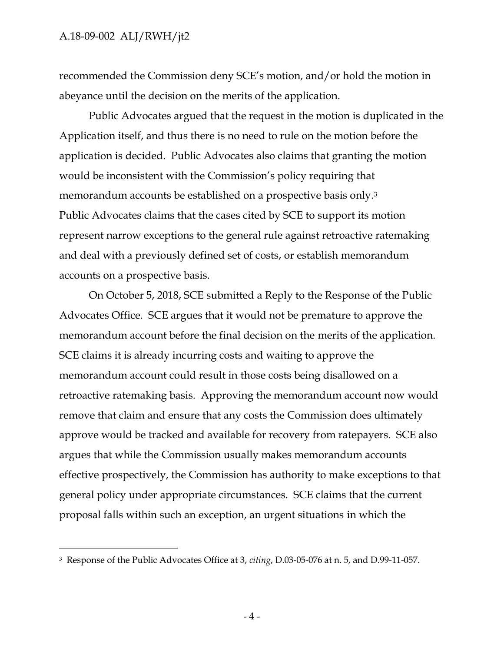$\overline{a}$ 

recommended the Commission deny SCE's motion, and/or hold the motion in abeyance until the decision on the merits of the application.

Public Advocates argued that the request in the motion is duplicated in the Application itself, and thus there is no need to rule on the motion before the application is decided. Public Advocates also claims that granting the motion would be inconsistent with the Commission's policy requiring that memorandum accounts be established on a prospective basis only.<sup>3</sup> Public Advocates claims that the cases cited by SCE to support its motion represent narrow exceptions to the general rule against retroactive ratemaking and deal with a previously defined set of costs, or establish memorandum accounts on a prospective basis.

On October 5, 2018, SCE submitted a Reply to the Response of the Public Advocates Office. SCE argues that it would not be premature to approve the memorandum account before the final decision on the merits of the application. SCE claims it is already incurring costs and waiting to approve the memorandum account could result in those costs being disallowed on a retroactive ratemaking basis. Approving the memorandum account now would remove that claim and ensure that any costs the Commission does ultimately approve would be tracked and available for recovery from ratepayers. SCE also argues that while the Commission usually makes memorandum accounts effective prospectively, the Commission has authority to make exceptions to that general policy under appropriate circumstances. SCE claims that the current proposal falls within such an exception, an urgent situations in which the

<sup>3</sup> Response of the Public Advocates Office at 3, *citing*, D.03-05-076 at n. 5, and D.99-11-057.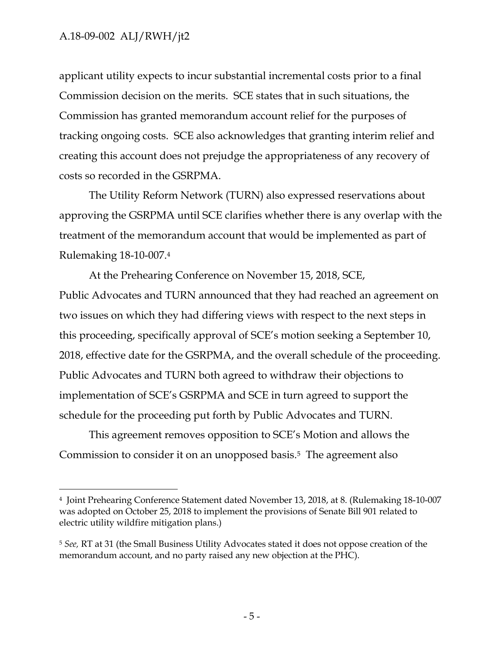$\overline{a}$ 

applicant utility expects to incur substantial incremental costs prior to a final Commission decision on the merits. SCE states that in such situations, the Commission has granted memorandum account relief for the purposes of tracking ongoing costs. SCE also acknowledges that granting interim relief and creating this account does not prejudge the appropriateness of any recovery of costs so recorded in the GSRPMA.

The Utility Reform Network (TURN) also expressed reservations about approving the GSRPMA until SCE clarifies whether there is any overlap with the treatment of the memorandum account that would be implemented as part of Rulemaking 18-10-007.<sup>4</sup>

At the Prehearing Conference on November 15, 2018, SCE, Public Advocates and TURN announced that they had reached an agreement on two issues on which they had differing views with respect to the next steps in this proceeding, specifically approval of SCE's motion seeking a September 10, 2018, effective date for the GSRPMA, and the overall schedule of the proceeding. Public Advocates and TURN both agreed to withdraw their objections to implementation of SCE's GSRPMA and SCE in turn agreed to support the schedule for the proceeding put forth by Public Advocates and TURN.

This agreement removes opposition to SCE's Motion and allows the Commission to consider it on an unopposed basis.<sup>5</sup> The agreement also

<sup>4</sup> Joint Prehearing Conference Statement dated November 13, 2018, at 8. (Rulemaking 18-10-007 was adopted on October 25, 2018 to implement the provisions of Senate Bill 901 related to electric utility wildfire mitigation plans.)

<sup>5</sup> *See,* RT at 31 (the Small Business Utility Advocates stated it does not oppose creation of the memorandum account, and no party raised any new objection at the PHC).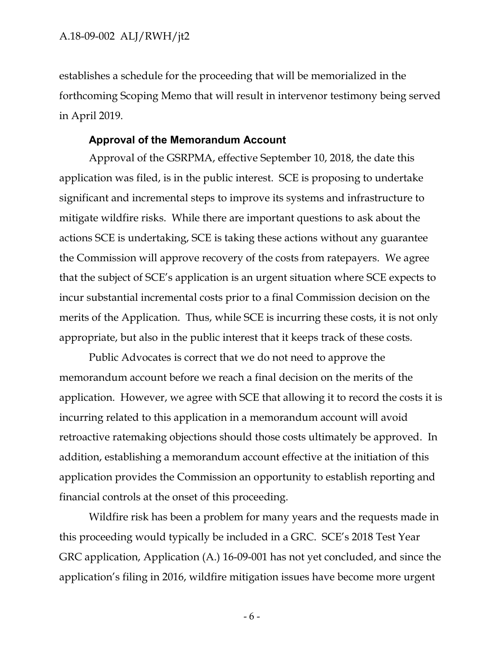establishes a schedule for the proceeding that will be memorialized in the forthcoming Scoping Memo that will result in intervenor testimony being served in April 2019.

#### **Approval of the Memorandum Account**

Approval of the GSRPMA, effective September 10, 2018, the date this application was filed, is in the public interest. SCE is proposing to undertake significant and incremental steps to improve its systems and infrastructure to mitigate wildfire risks. While there are important questions to ask about the actions SCE is undertaking, SCE is taking these actions without any guarantee the Commission will approve recovery of the costs from ratepayers. We agree that the subject of SCE's application is an urgent situation where SCE expects to incur substantial incremental costs prior to a final Commission decision on the merits of the Application. Thus, while SCE is incurring these costs, it is not only appropriate, but also in the public interest that it keeps track of these costs.

Public Advocates is correct that we do not need to approve the memorandum account before we reach a final decision on the merits of the application. However, we agree with SCE that allowing it to record the costs it is incurring related to this application in a memorandum account will avoid retroactive ratemaking objections should those costs ultimately be approved. In addition, establishing a memorandum account effective at the initiation of this application provides the Commission an opportunity to establish reporting and financial controls at the onset of this proceeding.

Wildfire risk has been a problem for many years and the requests made in this proceeding would typically be included in a GRC. SCE's 2018 Test Year GRC application, Application (A.) 16-09-001 has not yet concluded, and since the application's filing in 2016, wildfire mitigation issues have become more urgent

- 6 -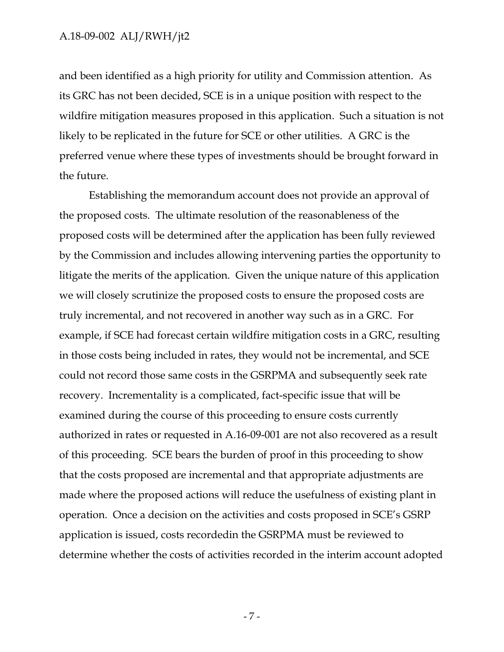and been identified as a high priority for utility and Commission attention. As its GRC has not been decided, SCE is in a unique position with respect to the wildfire mitigation measures proposed in this application. Such a situation is not likely to be replicated in the future for SCE or other utilities. A GRC is the preferred venue where these types of investments should be brought forward in the future.

Establishing the memorandum account does not provide an approval of the proposed costs. The ultimate resolution of the reasonableness of the proposed costs will be determined after the application has been fully reviewed by the Commission and includes allowing intervening parties the opportunity to litigate the merits of the application. Given the unique nature of this application we will closely scrutinize the proposed costs to ensure the proposed costs are truly incremental, and not recovered in another way such as in a GRC. For example, if SCE had forecast certain wildfire mitigation costs in a GRC, resulting in those costs being included in rates, they would not be incremental, and SCE could not record those same costs in the GSRPMA and subsequently seek rate recovery. Incrementality is a complicated, fact-specific issue that will be examined during the course of this proceeding to ensure costs currently authorized in rates or requested in A.16-09-001 are not also recovered as a result of this proceeding. SCE bears the burden of proof in this proceeding to show that the costs proposed are incremental and that appropriate adjustments are made where the proposed actions will reduce the usefulness of existing plant in operation. Once a decision on the activities and costs proposed in SCE's GSRP application is issued, costs recordedin the GSRPMA must be reviewed to determine whether the costs of activities recorded in the interim account adopted

- 7 -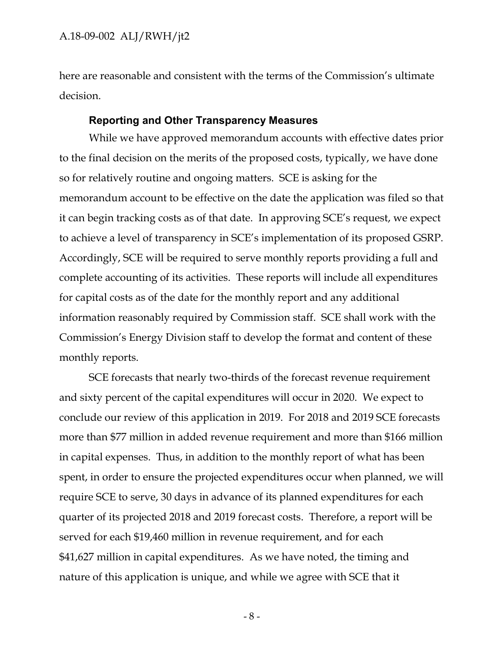here are reasonable and consistent with the terms of the Commission's ultimate decision.

#### **Reporting and Other Transparency Measures**

While we have approved memorandum accounts with effective dates prior to the final decision on the merits of the proposed costs, typically, we have done so for relatively routine and ongoing matters. SCE is asking for the memorandum account to be effective on the date the application was filed so that it can begin tracking costs as of that date. In approving SCE's request, we expect to achieve a level of transparency in SCE's implementation of its proposed GSRP. Accordingly, SCE will be required to serve monthly reports providing a full and complete accounting of its activities. These reports will include all expenditures for capital costs as of the date for the monthly report and any additional information reasonably required by Commission staff. SCE shall work with the Commission's Energy Division staff to develop the format and content of these monthly reports.

SCE forecasts that nearly two-thirds of the forecast revenue requirement and sixty percent of the capital expenditures will occur in 2020. We expect to conclude our review of this application in 2019. For 2018 and 2019 SCE forecasts more than \$77 million in added revenue requirement and more than \$166 million in capital expenses. Thus, in addition to the monthly report of what has been spent, in order to ensure the projected expenditures occur when planned, we will require SCE to serve, 30 days in advance of its planned expenditures for each quarter of its projected 2018 and 2019 forecast costs. Therefore, a report will be served for each \$19,460 million in revenue requirement, and for each \$41,627 million in capital expenditures. As we have noted, the timing and nature of this application is unique, and while we agree with SCE that it

- 8 -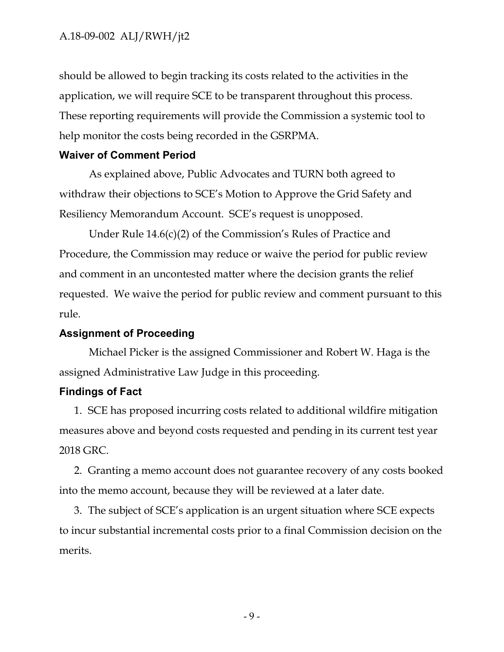should be allowed to begin tracking its costs related to the activities in the application, we will require SCE to be transparent throughout this process. These reporting requirements will provide the Commission a systemic tool to help monitor the costs being recorded in the GSRPMA.

#### **Waiver of Comment Period**

As explained above, Public Advocates and TURN both agreed to withdraw their objections to SCE's Motion to Approve the Grid Safety and Resiliency Memorandum Account. SCE's request is unopposed.

Under Rule 14.6(c)(2) of the Commission's Rules of Practice and Procedure, the Commission may reduce or waive the period for public review and comment in an uncontested matter where the decision grants the relief requested. We waive the period for public review and comment pursuant to this rule.

#### **Assignment of Proceeding**

Michael Picker is the assigned Commissioner and Robert W. Haga is the assigned Administrative Law Judge in this proceeding.

### **Findings of Fact**

1. SCE has proposed incurring costs related to additional wildfire mitigation measures above and beyond costs requested and pending in its current test year 2018 GRC.

2. Granting a memo account does not guarantee recovery of any costs booked into the memo account, because they will be reviewed at a later date.

3. The subject of SCE's application is an urgent situation where SCE expects to incur substantial incremental costs prior to a final Commission decision on the merits.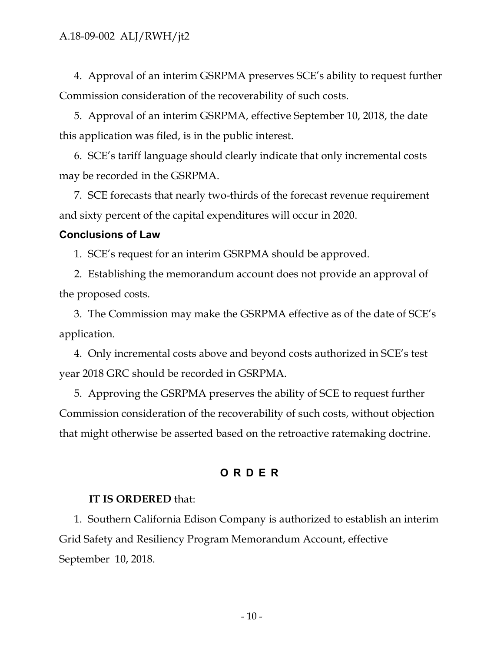4. Approval of an interim GSRPMA preserves SCE's ability to request further Commission consideration of the recoverability of such costs.

5. Approval of an interim GSRPMA, effective September 10, 2018, the date this application was filed, is in the public interest.

6. SCE's tariff language should clearly indicate that only incremental costs may be recorded in the GSRPMA.

7. SCE forecasts that nearly two-thirds of the forecast revenue requirement and sixty percent of the capital expenditures will occur in 2020.

### **Conclusions of Law**

1. SCE's request for an interim GSRPMA should be approved.

2. Establishing the memorandum account does not provide an approval of the proposed costs.

3. The Commission may make the GSRPMA effective as of the date of SCE's application.

4. Only incremental costs above and beyond costs authorized in SCE's test year 2018 GRC should be recorded in GSRPMA.

5. Approving the GSRPMA preserves the ability of SCE to request further Commission consideration of the recoverability of such costs, without objection that might otherwise be asserted based on the retroactive ratemaking doctrine.

### **ORDER**

#### **IT IS ORDERED** that:

1. Southern California Edison Company is authorized to establish an interim Grid Safety and Resiliency Program Memorandum Account, effective September 10, 2018.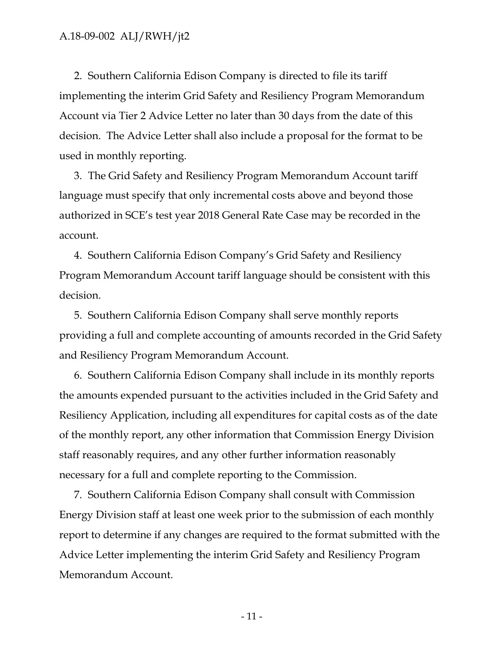2. Southern California Edison Company is directed to file its tariff implementing the interim Grid Safety and Resiliency Program Memorandum Account via Tier 2 Advice Letter no later than 30 days from the date of this decision. The Advice Letter shall also include a proposal for the format to be used in monthly reporting.

3. The Grid Safety and Resiliency Program Memorandum Account tariff language must specify that only incremental costs above and beyond those authorized in SCE's test year 2018 General Rate Case may be recorded in the account.

4. Southern California Edison Company's Grid Safety and Resiliency Program Memorandum Account tariff language should be consistent with this decision.

5. Southern California Edison Company shall serve monthly reports providing a full and complete accounting of amounts recorded in the Grid Safety and Resiliency Program Memorandum Account.

6. Southern California Edison Company shall include in its monthly reports the amounts expended pursuant to the activities included in the Grid Safety and Resiliency Application, including all expenditures for capital costs as of the date of the monthly report, any other information that Commission Energy Division staff reasonably requires, and any other further information reasonably necessary for a full and complete reporting to the Commission.

7. Southern California Edison Company shall consult with Commission Energy Division staff at least one week prior to the submission of each monthly report to determine if any changes are required to the format submitted with the Advice Letter implementing the interim Grid Safety and Resiliency Program Memorandum Account.

- 11 -